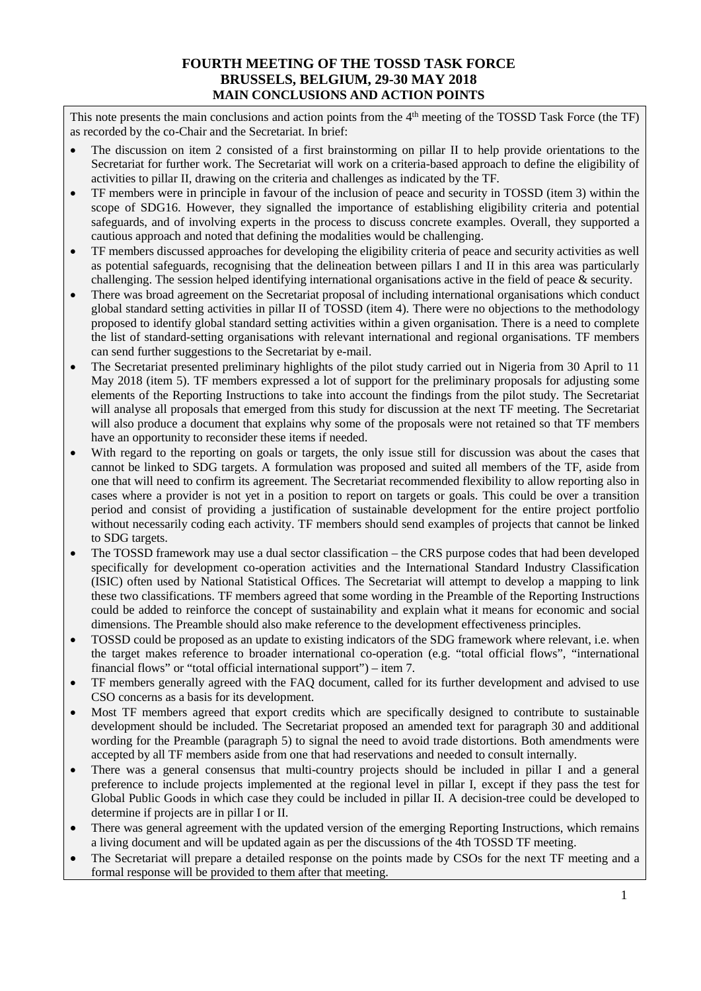## **FOURTH MEETING OF THE TOSSD TASK FORCE BRUSSELS, BELGIUM, 29-30 MAY 2018 MAIN CONCLUSIONS AND ACTION POINTS**

This note presents the main conclusions and action points from the 4<sup>th</sup> meeting of the TOSSD Task Force (the TF) as recorded by the co-Chair and the Secretariat. In brief:

- The discussion on item 2 consisted of a first brainstorming on pillar II to help provide orientations to the Secretariat for further work. The Secretariat will work on a criteria-based approach to define the eligibility of activities to pillar II, drawing on the criteria and challenges as indicated by the TF.
- TF members were in principle in favour of the inclusion of peace and security in TOSSD (item 3) within the scope of SDG16. However, they signalled the importance of establishing eligibility criteria and potential safeguards, and of involving experts in the process to discuss concrete examples. Overall, they supported a cautious approach and noted that defining the modalities would be challenging.
- TF members discussed approaches for developing the eligibility criteria of peace and security activities as well as potential safeguards, recognising that the delineation between pillars I and II in this area was particularly challenging. The session helped identifying international organisations active in the field of peace & security.
- There was broad agreement on the Secretariat proposal of including international organisations which conduct global standard setting activities in pillar II of TOSSD (item 4). There were no objections to the methodology proposed to identify global standard setting activities within a given organisation. There is a need to complete the list of standard-setting organisations with relevant international and regional organisations. TF members can send further suggestions to the Secretariat by e-mail.
- The Secretariat presented preliminary highlights of the pilot study carried out in Nigeria from 30 April to 11 May 2018 (item 5). TF members expressed a lot of support for the preliminary proposals for adjusting some elements of the Reporting Instructions to take into account the findings from the pilot study. The Secretariat will analyse all proposals that emerged from this study for discussion at the next TF meeting. The Secretariat will also produce a document that explains why some of the proposals were not retained so that TF members have an opportunity to reconsider these items if needed.
- With regard to the reporting on goals or targets, the only issue still for discussion was about the cases that cannot be linked to SDG targets. A formulation was proposed and suited all members of the TF, aside from one that will need to confirm its agreement. The Secretariat recommended flexibility to allow reporting also in cases where a provider is not yet in a position to report on targets or goals. This could be over a transition period and consist of providing a justification of sustainable development for the entire project portfolio without necessarily coding each activity. TF members should send examples of projects that cannot be linked to SDG targets.
- The TOSSD framework may use a dual sector classification the CRS purpose codes that had been developed specifically for development co-operation activities and the International Standard Industry Classification (ISIC) often used by National Statistical Offices. The Secretariat will attempt to develop a mapping to link these two classifications. TF members agreed that some wording in the Preamble of the Reporting Instructions could be added to reinforce the concept of sustainability and explain what it means for economic and social dimensions. The Preamble should also make reference to the development effectiveness principles.
- TOSSD could be proposed as an update to existing indicators of the SDG framework where relevant, i.e. when the target makes reference to broader international co-operation (e.g. "total official flows", "international financial flows" or "total official international support") – item 7.
- TF members generally agreed with the FAQ document, called for its further development and advised to use CSO concerns as a basis for its development.
- Most TF members agreed that export credits which are specifically designed to contribute to sustainable development should be included. The Secretariat proposed an amended text for paragraph 30 and additional wording for the Preamble (paragraph 5) to signal the need to avoid trade distortions. Both amendments were accepted by all TF members aside from one that had reservations and needed to consult internally.
- There was a general consensus that multi-country projects should be included in pillar I and a general preference to include projects implemented at the regional level in pillar I, except if they pass the test for Global Public Goods in which case they could be included in pillar II. A decision-tree could be developed to determine if projects are in pillar I or II.
- There was general agreement with the updated version of the emerging Reporting Instructions, which remains a living document and will be updated again as per the discussions of the 4th TOSSD TF meeting.
- The Secretariat will prepare a detailed response on the points made by CSOs for the next TF meeting and a formal response will be provided to them after that meeting.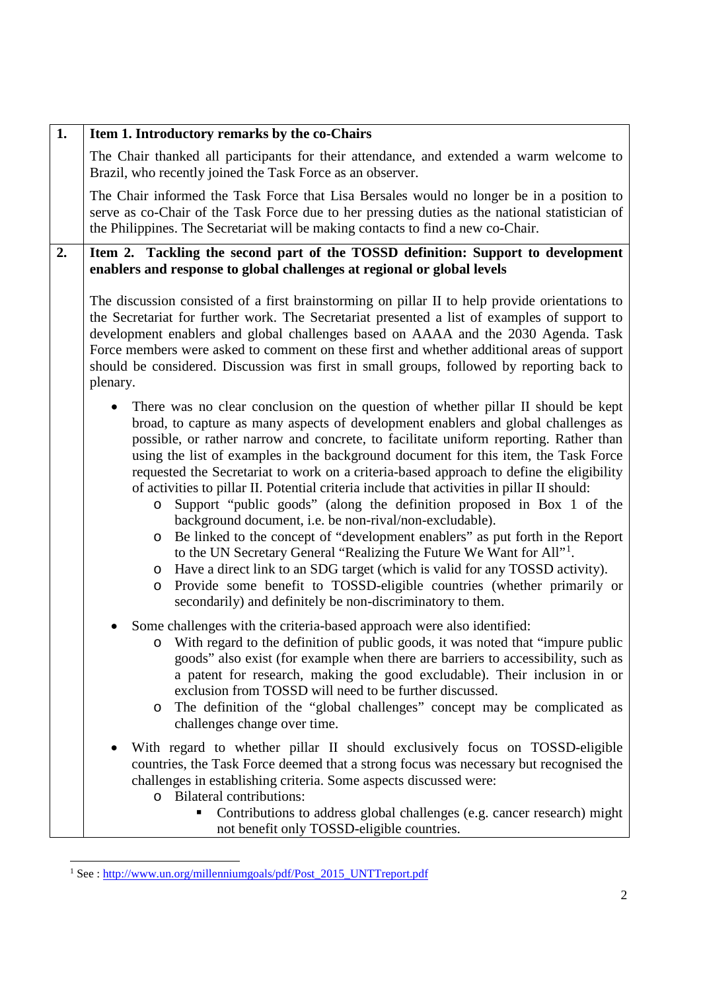| 1. | Item 1. Introductory remarks by the co-Chairs                                                                                                                                                                                                                                                                                                                                                                                                                                                                                                                                                                                                                                                                                                                                                                                                                                                                                                                                                                                                                                                                        |
|----|----------------------------------------------------------------------------------------------------------------------------------------------------------------------------------------------------------------------------------------------------------------------------------------------------------------------------------------------------------------------------------------------------------------------------------------------------------------------------------------------------------------------------------------------------------------------------------------------------------------------------------------------------------------------------------------------------------------------------------------------------------------------------------------------------------------------------------------------------------------------------------------------------------------------------------------------------------------------------------------------------------------------------------------------------------------------------------------------------------------------|
|    | The Chair thanked all participants for their attendance, and extended a warm welcome to<br>Brazil, who recently joined the Task Force as an observer.                                                                                                                                                                                                                                                                                                                                                                                                                                                                                                                                                                                                                                                                                                                                                                                                                                                                                                                                                                |
|    | The Chair informed the Task Force that Lisa Bersales would no longer be in a position to<br>serve as co-Chair of the Task Force due to her pressing duties as the national statistician of<br>the Philippines. The Secretariat will be making contacts to find a new co-Chair.                                                                                                                                                                                                                                                                                                                                                                                                                                                                                                                                                                                                                                                                                                                                                                                                                                       |
| 2. | Item 2. Tackling the second part of the TOSSD definition: Support to development<br>enablers and response to global challenges at regional or global levels                                                                                                                                                                                                                                                                                                                                                                                                                                                                                                                                                                                                                                                                                                                                                                                                                                                                                                                                                          |
|    | The discussion consisted of a first brainstorming on pillar II to help provide orientations to<br>the Secretariat for further work. The Secretariat presented a list of examples of support to<br>development enablers and global challenges based on AAAA and the 2030 Agenda. Task<br>Force members were asked to comment on these first and whether additional areas of support<br>should be considered. Discussion was first in small groups, followed by reporting back to<br>plenary.                                                                                                                                                                                                                                                                                                                                                                                                                                                                                                                                                                                                                          |
|    | There was no clear conclusion on the question of whether pillar II should be kept<br>broad, to capture as many aspects of development enablers and global challenges as<br>possible, or rather narrow and concrete, to facilitate uniform reporting. Rather than<br>using the list of examples in the background document for this item, the Task Force<br>requested the Secretariat to work on a criteria-based approach to define the eligibility<br>of activities to pillar II. Potential criteria include that activities in pillar II should:<br>Support "public goods" (along the definition proposed in Box 1 of the<br>$\circ$<br>background document, i.e. be non-rival/non-excludable).<br>Be linked to the concept of "development enablers" as put forth in the Report<br>O<br>to the UN Secretary General "Realizing the Future We Want for All" <sup>1</sup> .<br>Have a direct link to an SDG target (which is valid for any TOSSD activity).<br>O<br>Provide some benefit to TOSSD-eligible countries (whether primarily or<br>$\circ$<br>secondarily) and definitely be non-discriminatory to them. |
|    | Some challenges with the criteria-based approach were also identified:<br>With regard to the definition of public goods, it was noted that "impure public<br>O<br>goods" also exist (for example when there are barriers to accessibility, such as<br>a patent for research, making the good excludable). Their inclusion in or<br>exclusion from TOSSD will need to be further discussed.<br>The definition of the "global challenges" concept may be complicated as<br>O<br>challenges change over time.                                                                                                                                                                                                                                                                                                                                                                                                                                                                                                                                                                                                           |
|    | With regard to whether pillar II should exclusively focus on TOSSD-eligible<br>countries, the Task Force deemed that a strong focus was necessary but recognised the<br>challenges in establishing criteria. Some aspects discussed were:<br>o Bilateral contributions:<br>Contributions to address global challenges (e.g. cancer research) might<br>ш<br>not benefit only TOSSD-eligible countries.                                                                                                                                                                                                                                                                                                                                                                                                                                                                                                                                                                                                                                                                                                                |

<span id="page-1-0"></span><sup>&</sup>lt;sup>1</sup> See : [http://www.un.org/millenniumgoals/pdf/Post\\_2015\\_UNTTreport.pdf](http://www.un.org/millenniumgoals/pdf/Post_2015_UNTTreport.pdf)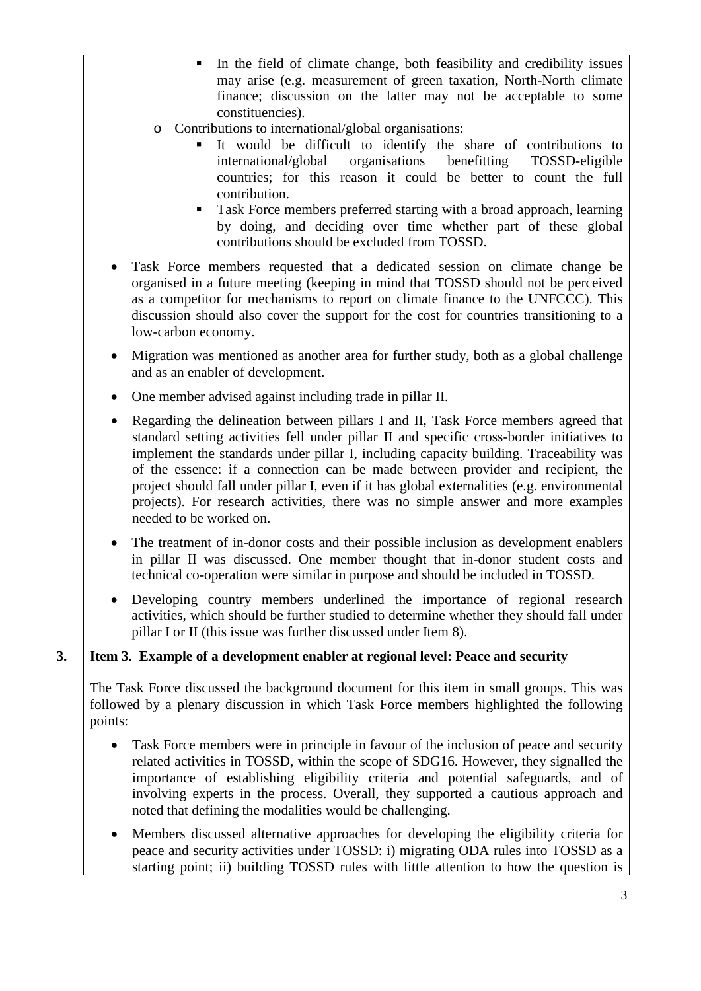|    | In the field of climate change, both feasibility and credibility issues<br>٠<br>may arise (e.g. measurement of green taxation, North-North climate<br>finance; discussion on the latter may not be acceptable to some<br>constituencies).                                                                                                                                                                                                                                                                                                                                              |
|----|----------------------------------------------------------------------------------------------------------------------------------------------------------------------------------------------------------------------------------------------------------------------------------------------------------------------------------------------------------------------------------------------------------------------------------------------------------------------------------------------------------------------------------------------------------------------------------------|
|    | Contributions to international/global organisations:<br>$\circ$<br>It would be difficult to identify the share of contributions to<br>organisations<br>benefitting<br>international/global<br>TOSSD-eligible<br>countries; for this reason it could be better to count the full<br>contribution.<br>Task Force members preferred starting with a broad approach, learning<br>п<br>by doing, and deciding over time whether part of these global<br>contributions should be excluded from TOSSD.                                                                                        |
|    | Task Force members requested that a dedicated session on climate change be<br>$\bullet$<br>organised in a future meeting (keeping in mind that TOSSD should not be perceived<br>as a competitor for mechanisms to report on climate finance to the UNFCCC). This<br>discussion should also cover the support for the cost for countries transitioning to a<br>low-carbon economy.                                                                                                                                                                                                      |
|    | Migration was mentioned as another area for further study, both as a global challenge<br>$\bullet$<br>and as an enabler of development.                                                                                                                                                                                                                                                                                                                                                                                                                                                |
|    | One member advised against including trade in pillar II.<br>$\bullet$                                                                                                                                                                                                                                                                                                                                                                                                                                                                                                                  |
|    | Regarding the delineation between pillars I and II, Task Force members agreed that<br>$\bullet$<br>standard setting activities fell under pillar II and specific cross-border initiatives to<br>implement the standards under pillar I, including capacity building. Traceability was<br>of the essence: if a connection can be made between provider and recipient, the<br>project should fall under pillar I, even if it has global externalities (e.g. environmental<br>projects). For research activities, there was no simple answer and more examples<br>needed to be worked on. |
|    | The treatment of in-donor costs and their possible inclusion as development enablers<br>in pillar II was discussed. One member thought that in-donor student costs and<br>technical co-operation were similar in purpose and should be included in TOSSD.                                                                                                                                                                                                                                                                                                                              |
|    | Developing country members underlined the importance of regional research<br>activities, which should be further studied to determine whether they should fall under<br>pillar I or II (this issue was further discussed under Item 8).                                                                                                                                                                                                                                                                                                                                                |
| 3. | Item 3. Example of a development enabler at regional level: Peace and security                                                                                                                                                                                                                                                                                                                                                                                                                                                                                                         |
|    | The Task Force discussed the background document for this item in small groups. This was<br>followed by a plenary discussion in which Task Force members highlighted the following<br>points:                                                                                                                                                                                                                                                                                                                                                                                          |
|    | Task Force members were in principle in favour of the inclusion of peace and security<br>$\bullet$<br>related activities in TOSSD, within the scope of SDG16. However, they signalled the<br>importance of establishing eligibility criteria and potential safeguards, and of<br>involving experts in the process. Overall, they supported a cautious approach and<br>noted that defining the modalities would be challenging.                                                                                                                                                         |
|    | Members discussed alternative approaches for developing the eligibility criteria for<br>$\bullet$<br>peace and security activities under TOSSD: i) migrating ODA rules into TOSSD as a<br>starting point; ii) building TOSSD rules with little attention to how the question is                                                                                                                                                                                                                                                                                                        |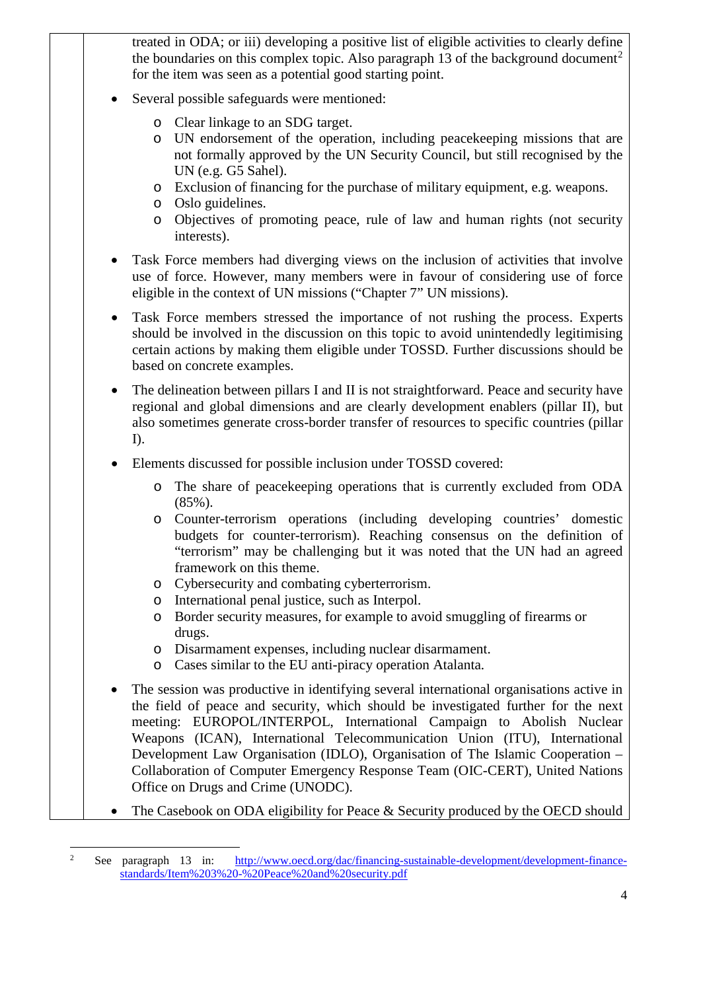treated in ODA; or iii) developing a positive list of eligible activities to clearly define the boundaries on this complex topic. Also paragraph 13 of the background document<sup>[2](#page-3-0)</sup> for the item was seen as a potential good starting point.

- Several possible safeguards were mentioned:
	- o Clear linkage to an SDG target.
	- o UN endorsement of the operation, including peacekeeping missions that are not formally approved by the UN Security Council, but still recognised by the UN (e.g. G5 Sahel).
	- o Exclusion of financing for the purchase of military equipment, e.g. weapons.
	- o Oslo guidelines.
	- o Objectives of promoting peace, rule of law and human rights (not security interests).
- Task Force members had diverging views on the inclusion of activities that involve use of force. However, many members were in favour of considering use of force eligible in the context of UN missions ("Chapter 7" UN missions).
- Task Force members stressed the importance of not rushing the process. Experts should be involved in the discussion on this topic to avoid unintendedly legitimising certain actions by making them eligible under TOSSD. Further discussions should be based on concrete examples.
- The delineation between pillars I and II is not straightforward. Peace and security have regional and global dimensions and are clearly development enablers (pillar II), but also sometimes generate cross-border transfer of resources to specific countries (pillar I).
- Elements discussed for possible inclusion under TOSSD covered:
	- o The share of peacekeeping operations that is currently excluded from ODA (85%).
	- o Counter-terrorism operations (including developing countries' domestic budgets for counter-terrorism). Reaching consensus on the definition of "terrorism" may be challenging but it was noted that the UN had an agreed framework on this theme.
	- o Cybersecurity and combating cyberterrorism.
	- o International penal justice, such as Interpol.
	- o Border security measures, for example to avoid smuggling of firearms or drugs.
	- o Disarmament expenses, including nuclear disarmament.
	- o Cases similar to the EU anti-piracy operation Atalanta.
- The session was productive in identifying several international organisations active in the field of peace and security, which should be investigated further for the next meeting: EUROPOL/INTERPOL, International Campaign to Abolish Nuclear Weapons (ICAN), International Telecommunication Union (ITU), International Development Law Organisation (IDLO), Organisation of The Islamic Cooperation – Collaboration of Computer Emergency Response Team (OIC-CERT), United Nations Office on Drugs and Crime (UNODC).
- The Casebook on ODA eligibility for Peace & Security produced by the OECD should

<span id="page-3-0"></span> $\frac{1}{2}$ <sup>2</sup> See paragraph 13 in: [http://www.oecd.org/dac/financing-sustainable-development/development-finance](http://www.oecd.org/dac/financing-sustainable-development/development-finance-standards/Item%203%20-%20Peace%20and%20security.pdf)[standards/Item%203%20-%20Peace%20and%20security.pdf](http://www.oecd.org/dac/financing-sustainable-development/development-finance-standards/Item%203%20-%20Peace%20and%20security.pdf)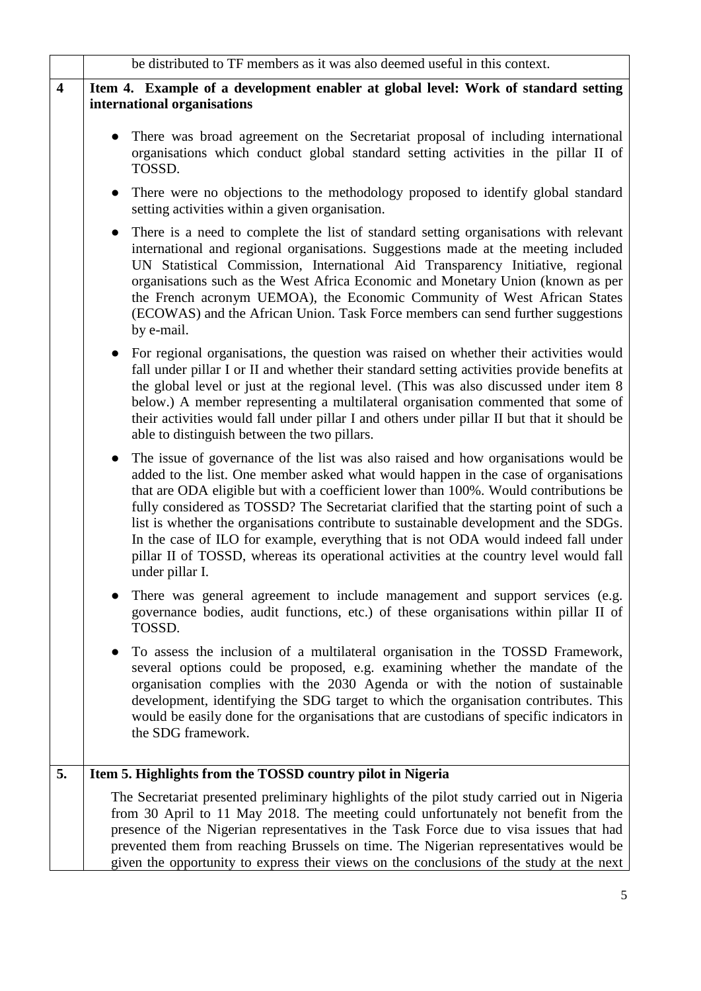|                         | be distributed to TF members as it was also deemed useful in this context.                                                                                                                                                                                                                                                                                                                                                                                                                                                                                                                                                                                          |
|-------------------------|---------------------------------------------------------------------------------------------------------------------------------------------------------------------------------------------------------------------------------------------------------------------------------------------------------------------------------------------------------------------------------------------------------------------------------------------------------------------------------------------------------------------------------------------------------------------------------------------------------------------------------------------------------------------|
| $\overline{\mathbf{4}}$ | Item 4. Example of a development enabler at global level: Work of standard setting<br>international organisations                                                                                                                                                                                                                                                                                                                                                                                                                                                                                                                                                   |
|                         | There was broad agreement on the Secretariat proposal of including international<br>organisations which conduct global standard setting activities in the pillar II of<br>TOSSD.                                                                                                                                                                                                                                                                                                                                                                                                                                                                                    |
|                         | There were no objections to the methodology proposed to identify global standard<br>setting activities within a given organisation.                                                                                                                                                                                                                                                                                                                                                                                                                                                                                                                                 |
|                         | There is a need to complete the list of standard setting organisations with relevant<br>international and regional organisations. Suggestions made at the meeting included<br>UN Statistical Commission, International Aid Transparency Initiative, regional<br>organisations such as the West Africa Economic and Monetary Union (known as per<br>the French acronym UEMOA), the Economic Community of West African States<br>(ECOWAS) and the African Union. Task Force members can send further suggestions<br>by e-mail.                                                                                                                                        |
|                         | For regional organisations, the question was raised on whether their activities would<br>fall under pillar I or II and whether their standard setting activities provide benefits at<br>the global level or just at the regional level. (This was also discussed under item 8<br>below.) A member representing a multilateral organisation commented that some of<br>their activities would fall under pillar I and others under pillar II but that it should be<br>able to distinguish between the two pillars.                                                                                                                                                    |
|                         | The issue of governance of the list was also raised and how organisations would be<br>$\bullet$<br>added to the list. One member asked what would happen in the case of organisations<br>that are ODA eligible but with a coefficient lower than 100%. Would contributions be<br>fully considered as TOSSD? The Secretariat clarified that the starting point of such a<br>list is whether the organisations contribute to sustainable development and the SDGs.<br>In the case of ILO for example, everything that is not ODA would indeed fall under<br>pillar II of TOSSD, whereas its operational activities at the country level would fall<br>under pillar I. |
|                         | There was general agreement to include management and support services (e.g.<br>governance bodies, audit functions, etc.) of these organisations within pillar II of<br>TOSSD.                                                                                                                                                                                                                                                                                                                                                                                                                                                                                      |
|                         | To assess the inclusion of a multilateral organisation in the TOSSD Framework,<br>several options could be proposed, e.g. examining whether the mandate of the<br>organisation complies with the 2030 Agenda or with the notion of sustainable<br>development, identifying the SDG target to which the organisation contributes. This<br>would be easily done for the organisations that are custodians of specific indicators in<br>the SDG framework.                                                                                                                                                                                                             |
| 5.                      | Item 5. Highlights from the TOSSD country pilot in Nigeria                                                                                                                                                                                                                                                                                                                                                                                                                                                                                                                                                                                                          |
|                         | The Secretariat presented preliminary highlights of the pilot study carried out in Nigeria<br>from 30 April to 11 May 2018. The meeting could unfortunately not benefit from the<br>presence of the Nigerian representatives in the Task Force due to visa issues that had<br>prevented them from reaching Brussels on time. The Nigerian representatives would be<br>given the opportunity to express their views on the conclusions of the study at the next                                                                                                                                                                                                      |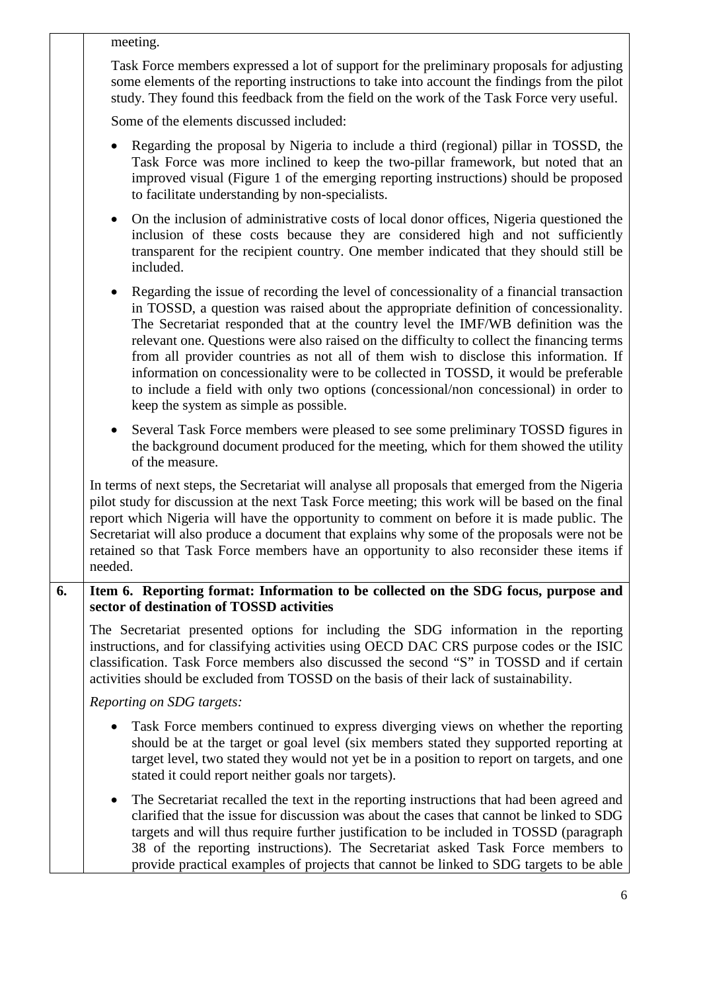|    | meeting.                                                                                                                                                                                                                                                                                                                                                                                                                                                                                                                                                                                                                                                                                          |
|----|---------------------------------------------------------------------------------------------------------------------------------------------------------------------------------------------------------------------------------------------------------------------------------------------------------------------------------------------------------------------------------------------------------------------------------------------------------------------------------------------------------------------------------------------------------------------------------------------------------------------------------------------------------------------------------------------------|
|    | Task Force members expressed a lot of support for the preliminary proposals for adjusting<br>some elements of the reporting instructions to take into account the findings from the pilot<br>study. They found this feedback from the field on the work of the Task Force very useful.                                                                                                                                                                                                                                                                                                                                                                                                            |
|    | Some of the elements discussed included:                                                                                                                                                                                                                                                                                                                                                                                                                                                                                                                                                                                                                                                          |
|    | Regarding the proposal by Nigeria to include a third (regional) pillar in TOSSD, the<br>Task Force was more inclined to keep the two-pillar framework, but noted that an<br>improved visual (Figure 1 of the emerging reporting instructions) should be proposed<br>to facilitate understanding by non-specialists.                                                                                                                                                                                                                                                                                                                                                                               |
|    | On the inclusion of administrative costs of local donor offices, Nigeria questioned the<br>$\bullet$<br>inclusion of these costs because they are considered high and not sufficiently<br>transparent for the recipient country. One member indicated that they should still be<br>included.                                                                                                                                                                                                                                                                                                                                                                                                      |
|    | Regarding the issue of recording the level of concessionality of a financial transaction<br>$\bullet$<br>in TOSSD, a question was raised about the appropriate definition of concessionality.<br>The Secretariat responded that at the country level the IMF/WB definition was the<br>relevant one. Questions were also raised on the difficulty to collect the financing terms<br>from all provider countries as not all of them wish to disclose this information. If<br>information on concessionality were to be collected in TOSSD, it would be preferable<br>to include a field with only two options (concessional/non concessional) in order to<br>keep the system as simple as possible. |
|    | Several Task Force members were pleased to see some preliminary TOSSD figures in<br>$\bullet$<br>the background document produced for the meeting, which for them showed the utility<br>of the measure.                                                                                                                                                                                                                                                                                                                                                                                                                                                                                           |
|    | In terms of next steps, the Secretariat will analyse all proposals that emerged from the Nigeria<br>pilot study for discussion at the next Task Force meeting; this work will be based on the final<br>report which Nigeria will have the opportunity to comment on before it is made public. The<br>Secretariat will also produce a document that explains why some of the proposals were not be<br>retained so that Task Force members have an opportunity to also reconsider these items if<br>needed.                                                                                                                                                                                         |
| 6. | Item 6. Reporting format: Information to be collected on the SDG focus, purpose and<br>sector of destination of TOSSD activities                                                                                                                                                                                                                                                                                                                                                                                                                                                                                                                                                                  |
|    | The Secretariat presented options for including the SDG information in the reporting<br>instructions, and for classifying activities using OECD DAC CRS purpose codes or the ISIC<br>classification. Task Force members also discussed the second "S" in TOSSD and if certain<br>activities should be excluded from TOSSD on the basis of their lack of sustainability.                                                                                                                                                                                                                                                                                                                           |
|    | Reporting on SDG targets:                                                                                                                                                                                                                                                                                                                                                                                                                                                                                                                                                                                                                                                                         |
|    | Task Force members continued to express diverging views on whether the reporting<br>should be at the target or goal level (six members stated they supported reporting at<br>target level, two stated they would not yet be in a position to report on targets, and one<br>stated it could report neither goals nor targets).                                                                                                                                                                                                                                                                                                                                                                     |
|    | The Secretariat recalled the text in the reporting instructions that had been agreed and<br>$\bullet$<br>clarified that the issue for discussion was about the cases that cannot be linked to SDG<br>targets and will thus require further justification to be included in TOSSD (paragraph<br>38 of the reporting instructions). The Secretariat asked Task Force members to<br>provide practical examples of projects that cannot be linked to SDG targets to be able                                                                                                                                                                                                                           |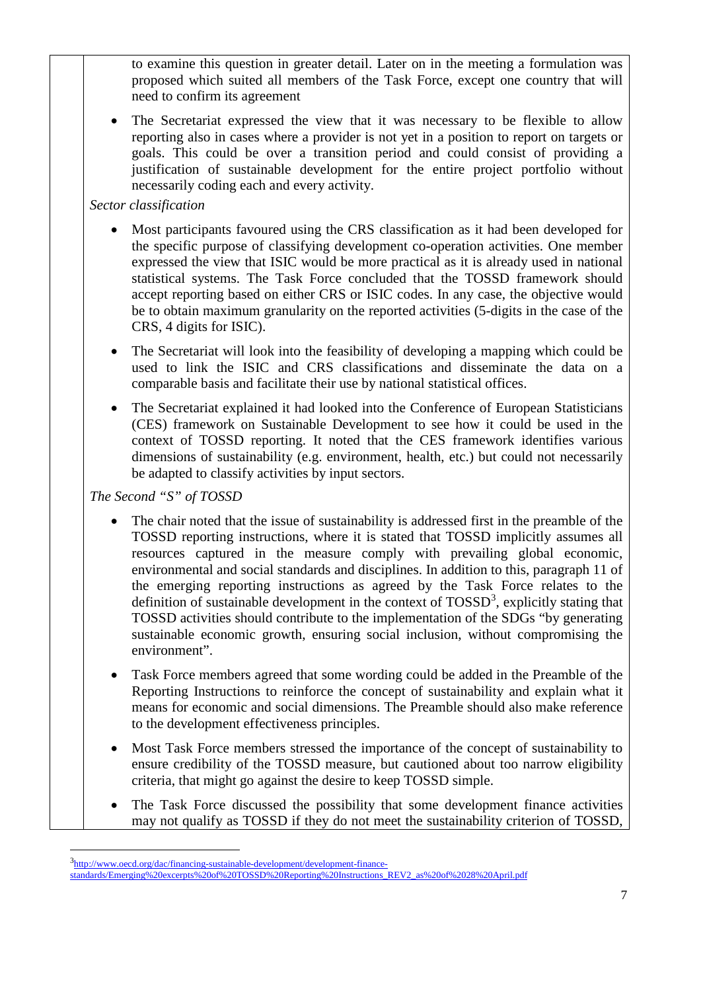to examine this question in greater detail. Later on in the meeting a formulation was proposed which suited all members of the Task Force, except one country that will need to confirm its agreement

The Secretariat expressed the view that it was necessary to be flexible to allow reporting also in cases where a provider is not yet in a position to report on targets or goals. This could be over a transition period and could consist of providing a justification of sustainable development for the entire project portfolio without necessarily coding each and every activity.

## *Sector classification*

- Most participants favoured using the CRS classification as it had been developed for the specific purpose of classifying development co-operation activities. One member expressed the view that ISIC would be more practical as it is already used in national statistical systems. The Task Force concluded that the TOSSD framework should accept reporting based on either CRS or ISIC codes. In any case, the objective would be to obtain maximum granularity on the reported activities (5-digits in the case of the CRS, 4 digits for ISIC).
- The Secretariat will look into the feasibility of developing a mapping which could be used to link the ISIC and CRS classifications and disseminate the data on a comparable basis and facilitate their use by national statistical offices.
- The Secretariat explained it had looked into the Conference of European Statisticians (CES) framework on Sustainable Development to see how it could be used in the context of TOSSD reporting. It noted that the CES framework identifies various dimensions of sustainability (e.g. environment, health, etc.) but could not necessarily be adapted to classify activities by input sectors.

## *The Second "S" of TOSSD*

- The chair noted that the issue of sustainability is addressed first in the preamble of the TOSSD reporting instructions, where it is stated that TOSSD implicitly assumes all resources captured in the measure comply with prevailing global economic, environmental and social standards and disciplines. In addition to this, paragraph 11 of the emerging reporting instructions as agreed by the Task Force relates to the definition of sustainable development in the context of  $TOSSD<sup>3</sup>$  $TOSSD<sup>3</sup>$  $TOSSD<sup>3</sup>$ , explicitly stating that TOSSD activities should contribute to the implementation of the SDGs "by generating sustainable economic growth, ensuring social inclusion, without compromising the environment".
- Task Force members agreed that some wording could be added in the Preamble of the Reporting Instructions to reinforce the concept of sustainability and explain what it means for economic and social dimensions. The Preamble should also make reference to the development effectiveness principles.
- Most Task Force members stressed the importance of the concept of sustainability to ensure credibility of the TOSSD measure, but cautioned about too narrow eligibility criteria, that might go against the desire to keep TOSSD simple.
- The Task Force discussed the possibility that some development finance activities may not qualify as TOSSD if they do not meet the sustainability criterion of TOSSD,

<span id="page-6-0"></span> <sup>3</sup>  $3$ [http://www.oecd.org/dac/financing-sustainable-development/development-finance](http://www.oecd.org/dac/financing-sustainable-development/development-finance-standards/Emerging%20excerpts%20of%20TOSSD%20Reporting%20Instructions_REV2_as%20of%2028%20April.pdf)[standards/Emerging%20excerpts%20of%20TOSSD%20Reporting%20Instructions\\_REV2\\_as%20of%2028%20April.pdf](http://www.oecd.org/dac/financing-sustainable-development/development-finance-standards/Emerging%20excerpts%20of%20TOSSD%20Reporting%20Instructions_REV2_as%20of%2028%20April.pdf)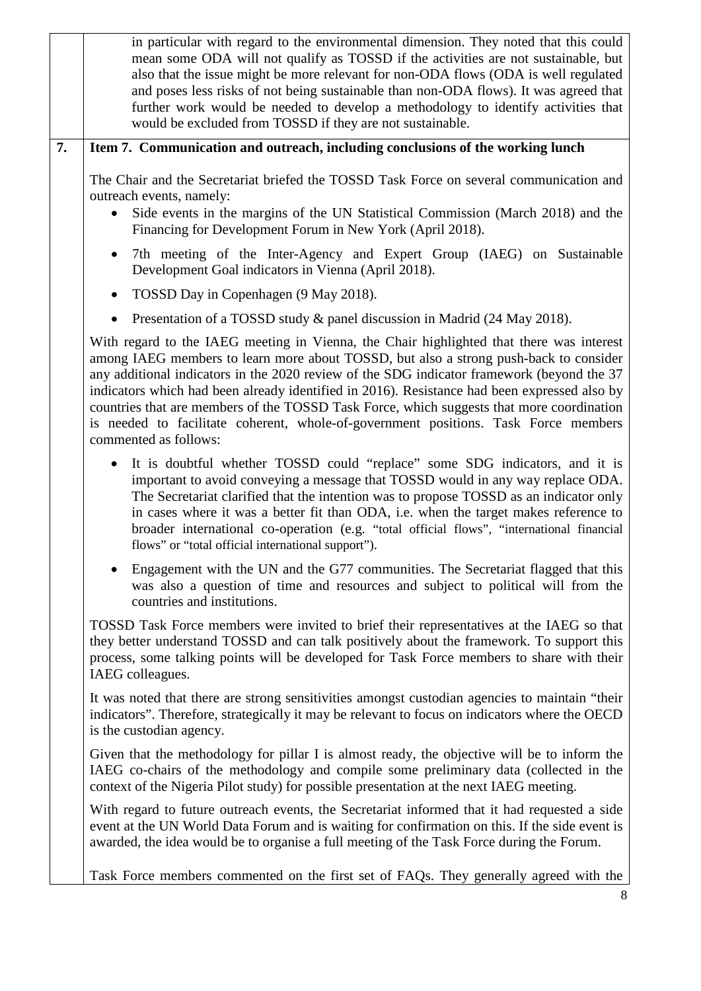|    | in particular with regard to the environmental dimension. They noted that this could<br>mean some ODA will not qualify as TOSSD if the activities are not sustainable, but<br>also that the issue might be more relevant for non-ODA flows (ODA is well regulated<br>and poses less risks of not being sustainable than non-ODA flows). It was agreed that<br>further work would be needed to develop a methodology to identify activities that<br>would be excluded from TOSSD if they are not sustainable.                                                                                 |
|----|----------------------------------------------------------------------------------------------------------------------------------------------------------------------------------------------------------------------------------------------------------------------------------------------------------------------------------------------------------------------------------------------------------------------------------------------------------------------------------------------------------------------------------------------------------------------------------------------|
| 7. | Item 7. Communication and outreach, including conclusions of the working lunch                                                                                                                                                                                                                                                                                                                                                                                                                                                                                                               |
|    | The Chair and the Secretariat briefed the TOSSD Task Force on several communication and<br>outreach events, namely:<br>Side events in the margins of the UN Statistical Commission (March 2018) and the<br>Financing for Development Forum in New York (April 2018).                                                                                                                                                                                                                                                                                                                         |
|    | 7th meeting of the Inter-Agency and Expert Group (IAEG) on Sustainable<br>Development Goal indicators in Vienna (April 2018).                                                                                                                                                                                                                                                                                                                                                                                                                                                                |
|    | TOSSD Day in Copenhagen (9 May 2018).                                                                                                                                                                                                                                                                                                                                                                                                                                                                                                                                                        |
|    | Presentation of a TOSSD study & panel discussion in Madrid (24 May 2018).<br>$\bullet$                                                                                                                                                                                                                                                                                                                                                                                                                                                                                                       |
|    | With regard to the IAEG meeting in Vienna, the Chair highlighted that there was interest<br>among IAEG members to learn more about TOSSD, but also a strong push-back to consider<br>any additional indicators in the 2020 review of the SDG indicator framework (beyond the 37<br>indicators which had been already identified in 2016). Resistance had been expressed also by<br>countries that are members of the TOSSD Task Force, which suggests that more coordination<br>is needed to facilitate coherent, whole-of-government positions. Task Force members<br>commented as follows: |
|    | It is doubtful whether TOSSD could "replace" some SDG indicators, and it is<br>$\bullet$<br>important to avoid conveying a message that TOSSD would in any way replace ODA.<br>The Secretariat clarified that the intention was to propose TOSSD as an indicator only<br>in cases where it was a better fit than ODA, i.e. when the target makes reference to<br>broader international co-operation (e.g. "total official flows", "international financial<br>flows" or "total official international support").                                                                             |
|    | Engagement with the UN and the G77 communities. The Secretariat flagged that this<br>was also a question of time and resources and subject to political will from the<br>countries and institutions.                                                                                                                                                                                                                                                                                                                                                                                         |
|    | TOSSD Task Force members were invited to brief their representatives at the IAEG so that<br>they better understand TOSSD and can talk positively about the framework. To support this<br>process, some talking points will be developed for Task Force members to share with their<br>IAEG colleagues.                                                                                                                                                                                                                                                                                       |
|    | It was noted that there are strong sensitivities amongst custodian agencies to maintain "their<br>indicators". Therefore, strategically it may be relevant to focus on indicators where the OECD<br>is the custodian agency.                                                                                                                                                                                                                                                                                                                                                                 |
|    | Given that the methodology for pillar I is almost ready, the objective will be to inform the<br>IAEG co-chairs of the methodology and compile some preliminary data (collected in the<br>context of the Nigeria Pilot study) for possible presentation at the next IAEG meeting.                                                                                                                                                                                                                                                                                                             |
|    | With regard to future outreach events, the Secretariat informed that it had requested a side<br>event at the UN World Data Forum and is waiting for confirmation on this. If the side event is<br>awarded, the idea would be to organise a full meeting of the Task Force during the Forum.                                                                                                                                                                                                                                                                                                  |
|    | Task Force members commented on the first set of FAQs. They generally agreed with the                                                                                                                                                                                                                                                                                                                                                                                                                                                                                                        |